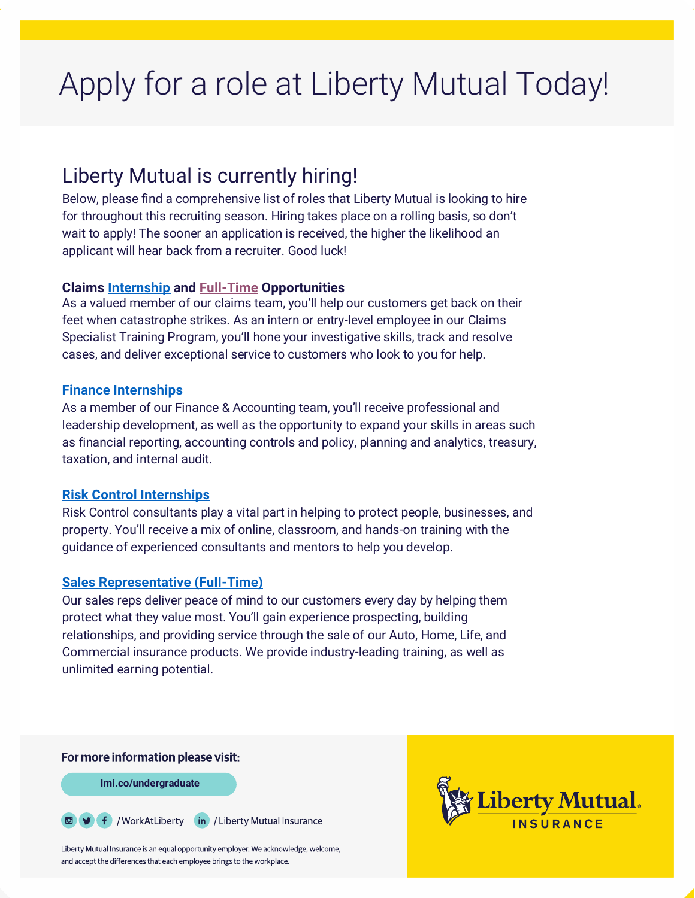# Apply for a role at Liberty Mutual Today!

# Liberty Mutual is currently hiring!

Below, please find a comprehensive list of roles that Liberty Mutual is looking to hire for throughout this recruiting season. Hiring takes place on a rolling basis, so don't wait to apply! The sooner an application is received, the higher the likelihood an applicant will hear back from a recruiter. Good luck!

# **Claims [Internship](https://jobs.libertymutualgroup.com/search-jobs/?keyword=internship&category%5b%5d=Claims&compliment=Campus) and [Full-Time](https://jobs.libertymutualgroup.com/search-jobs/?keyword=entry%20level&category%5b%5d=Claims&compliment=Campus) Opportunities**

As a valued member of our claims team, you'll help our customers get back on their feet when catastrophe strikes. As an intern or entry-level employee in our Claims Specialist Training Program, you'll hone your investigative skills, track and resolve cases, and deliver exceptional service to customers who look to you for help.

# **[Finance Internships](https://jobs.libertymutualgroup.com/search-jobs/?keyword=internship&category%5b%5d=Finance%20%26%20Accounting&compliment=Campus)**

As a member of our Finance & Accounting team, you'll receive professional and leadership development, as well as the opportunity to expand your skills in areas such as financial reporting, accounting controls and policy, planning and analytics, treasury, taxation, and internal audit.

# **[Risk Control Internships](https://jobs.libertymutualgroup.com/search-jobs/?keyword=internship&category%5b%5d=Risk%20Control&compliment=Campus)**

Risk Control consultants play a vital part in helping to protect people, businesses, and property. You'll receive a mix of online, classroom, and hands-on training with the guidance of experienced consultants and mentors to help you develop.

# **[Sales Representative \(Full-Time\)](https://jobs.libertymutualgroup.com/search-jobs/?keyword=entry%20level&category%5b%5d=Sales&compliment=Campus)**

Our sales reps deliver peace of mind to our customers every day by helping them protect what they value most. You'll gain experience prospecting, building relationships, and providing service through the sale of our Auto, Home, Life, and Commercial insurance products. We provide industry-leading training, as well as unlimited earning potential.

#### For more information please visit:

**lmi.co/undergraduate**

**■ f** / WorkAtLiberty (in) / Liberty Mutual Insurance

Liberty Mutual Insurance is an equal opportunity employer. We acknowledge, welcome, and accept the differences that each employee brings to the workplace.